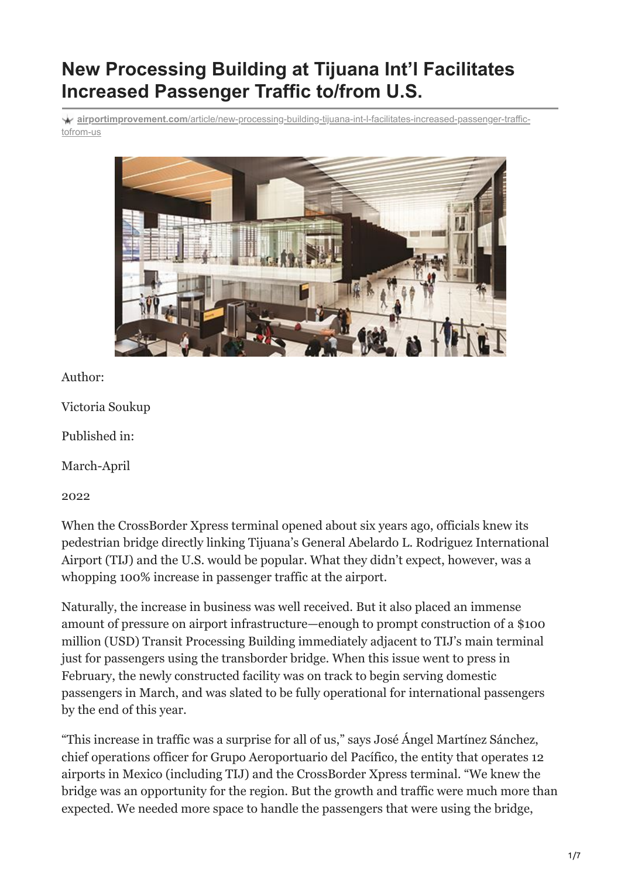# **New Processing Building at Tijuana Int'l Facilitates Increased Passenger Traffic to/from U.S.**

**airportimprovement.com**[/article/new-processing-building-tijuana-int-l-facilitates-increased-passenger-traffic](https://airportimprovement.com/article/new-processing-building-tijuana-int-l-facilitates-increased-passenger-traffic-tofrom-us)tofrom-us



#### Author:

Victoria Soukup

Published in:

March-April

2022

When the CrossBorder Xpress terminal opened about six years ago, officials knew its pedestrian bridge directly linking Tijuana's General Abelardo L. Rodriguez International Airport (TIJ) and the U.S. would be popular. What they didn't expect, however, was a whopping 100% increase in passenger traffic at the airport.

Naturally, the increase in business was well received. But it also placed an immense amount of pressure on airport infrastructure—enough to prompt construction of a \$100 million (USD) Transit Processing Building immediately adjacent to TIJ's main terminal just for passengers using the transborder bridge. When this issue went to press in February, the newly constructed facility was on track to begin serving domestic passengers in March, and was slated to be fully operational for international passengers by the end of this year.

"This increase in traffic was a surprise for all of us," says José Ángel Martínez Sánchez, chief operations officer for Grupo Aeroportuario del Pacífico, the entity that operates 12 airports in Mexico (including TIJ) and the CrossBorder Xpress terminal. "We knew the bridge was an opportunity for the region. But the growth and traffic were much more than expected. We needed more space to handle the passengers that were using the bridge,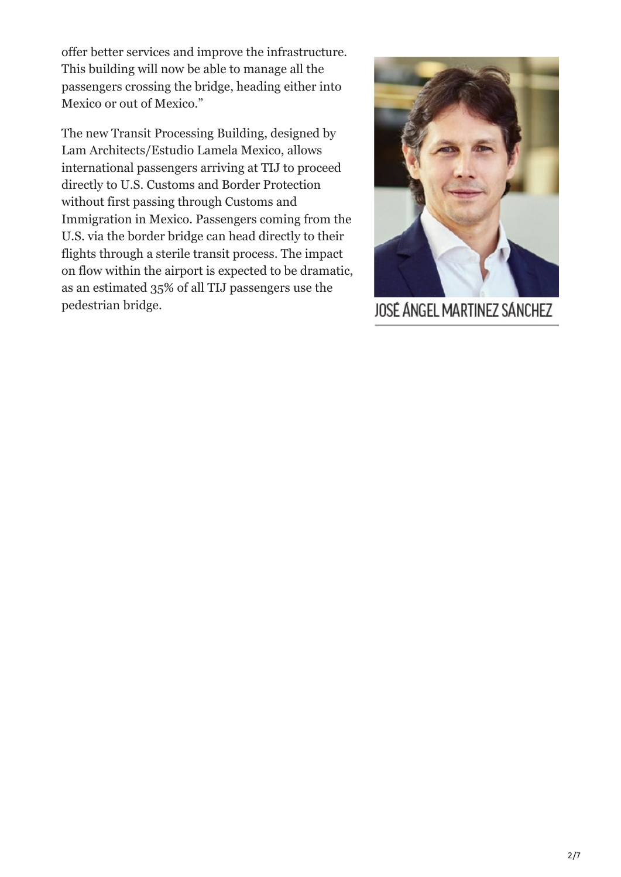offer better services and improve the infrastructure. This building will now be able to manage all the passengers crossing the bridge, heading either into Mexico or out of Mexico."

The new Transit Processing Building, designed by Lam Architects/Estudio Lamela Mexico, allows international passengers arriving at TIJ to proceed directly to U.S. Customs and Border Protection without first passing through Customs and Immigration in Mexico. Passengers coming from the U.S. via the border bridge can head directly to their flights through a sterile transit process. The impact on flow within the airport is expected to be dramatic, as an estimated 35% of all TIJ passengers use the pedestrian bridge.



JOSÉ ÁNGEL MARTINEZ SÁNCHEZ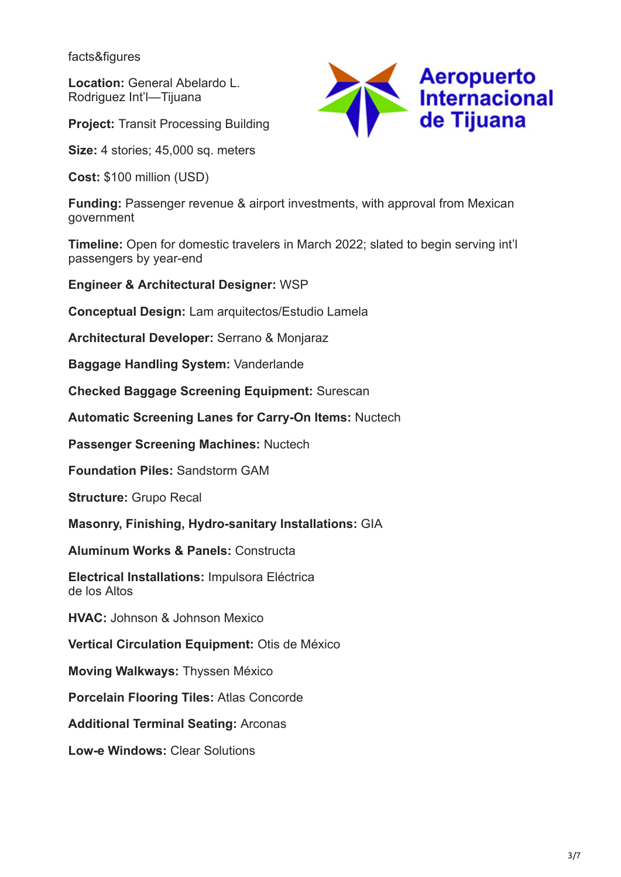facts&figures

**Location:** General Abelardo L. Rodriguez Int'l—Tijuana

**Project:** Transit Processing Building

**Size:** 4 stories; 45,000 sq. meters

**Cost:** \$100 million (USD)

**Funding: Passenger revenue & airport investments, with approval from Mexican** government

**Timeline:** Open for domestic travelers in March 2022; slated to begin serving int'l passengers by year-end

**Engineer & Architectural Designer:** WSP

**Conceptual Design:** Lam arquitectos/Estudio Lamela

**Architectural Developer:** Serrano & Monjaraz

**Baggage Handling System:** Vanderlande

**Checked Baggage Screening Equipment:** Surescan

**Automatic Screening Lanes for Carry-On Items:** Nuctech

**Passenger Screening Machines:** Nuctech

**Foundation Piles:** Sandstorm GAM

**Structure: Grupo Recal** 

**Masonry, Finishing, Hydro-sanitary Installations:** GIA

**Aluminum Works & Panels:** Constructa

**Electrical Installations:** Impulsora Eléctrica de los Altos

**HVAC:** Johnson & Johnson Mexico

**Vertical Circulation Equipment:** Otis de México

**Moving Walkways:** Thyssen México

**Porcelain Flooring Tiles:** Atlas Concorde

**Additional Terminal Seating:** Arconas

**Low-e Windows:** Clear Solutions



3/7

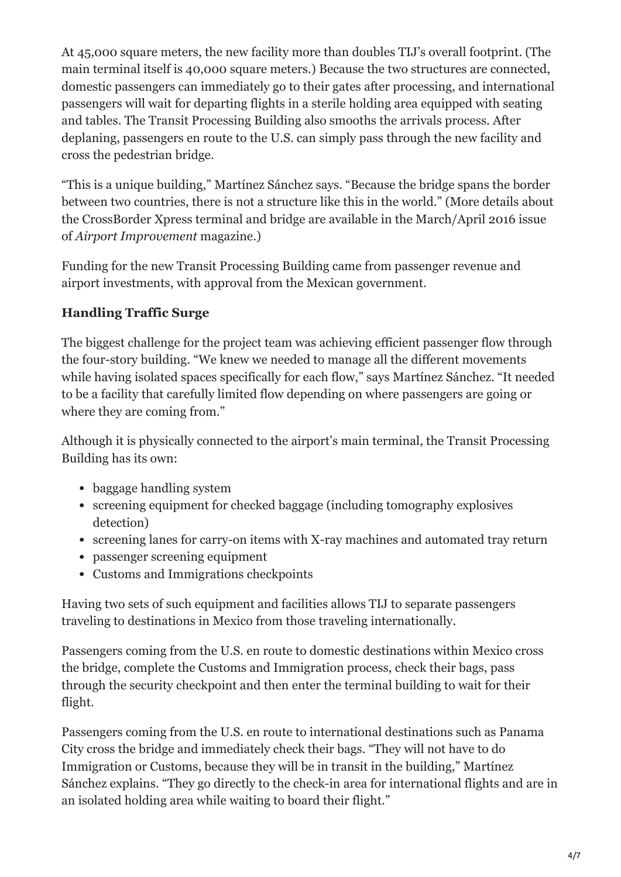At 45,000 square meters, the new facility more than doubles TIJ's overall footprint. (The main terminal itself is 40,000 square meters.) Because the two structures are connected, domestic passengers can immediately go to their gates after processing, and international passengers will wait for departing flights in a sterile holding area equipped with seating and tables. The Transit Processing Building also smooths the arrivals process. After deplaning, passengers en route to the U.S. can simply pass through the new facility and cross the pedestrian bridge.

"This is a unique building," Martínez Sánchez says. "Because the bridge spans the border between two countries, there is not a structure like this in the world." (More details about the CrossBorder Xpress terminal and bridge are available in the March/April 2016 issue of *Airport Improvement* magazine.)

Funding for the new Transit Processing Building came from passenger revenue and airport investments, with approval from the Mexican government.

## **Handling Traffic Surge**

The biggest challenge for the project team was achieving efficient passenger flow through the four-story building. "We knew we needed to manage all the different movements while having isolated spaces specifically for each flow," says Martínez Sánchez. "It needed to be a facility that carefully limited flow depending on where passengers are going or where they are coming from."

Although it is physically connected to the airport's main terminal, the Transit Processing Building has its own:

- baggage handling system
- screening equipment for checked baggage (including tomography explosives detection)
- screening lanes for carry-on items with X-ray machines and automated tray return
- passenger screening equipment
- Customs and Immigrations checkpoints

Having two sets of such equipment and facilities allows TIJ to separate passengers traveling to destinations in Mexico from those traveling internationally.

Passengers coming from the U.S. en route to domestic destinations within Mexico cross the bridge, complete the Customs and Immigration process, check their bags, pass through the security checkpoint and then enter the terminal building to wait for their flight.

Passengers coming from the U.S. en route to international destinations such as Panama City cross the bridge and immediately check their bags. "They will not have to do Immigration or Customs, because they will be in transit in the building," Martínez Sánchez explains. "They go directly to the check-in area for international flights and are in an isolated holding area while waiting to board their flight."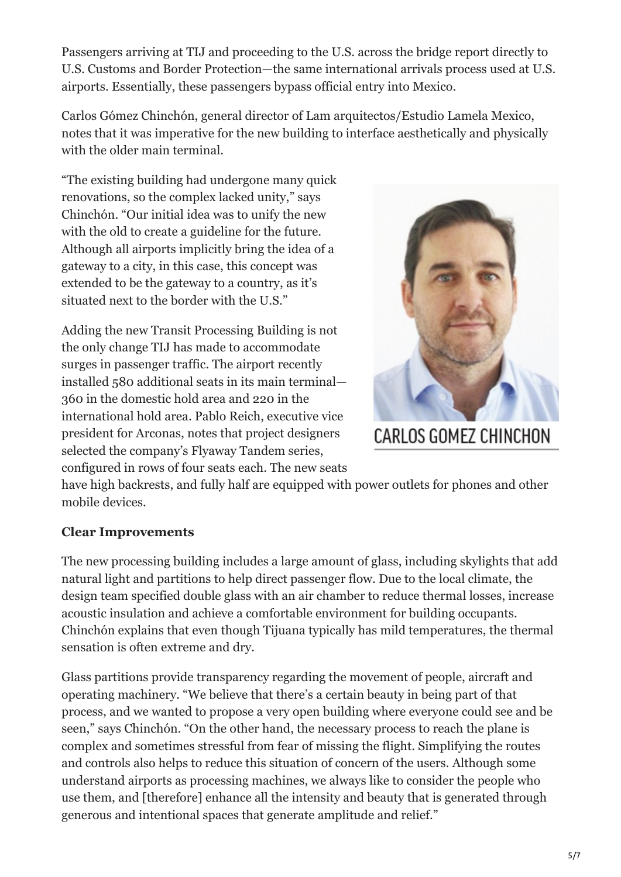Passengers arriving at TIJ and proceeding to the U.S. across the bridge report directly to U.S. Customs and Border Protection—the same international arrivals process used at U.S. airports. Essentially, these passengers bypass official entry into Mexico.

Carlos Gómez Chinchón, general director of Lam arquitectos/Estudio Lamela Mexico, notes that it was imperative for the new building to interface aesthetically and physically with the older main terminal.

"The existing building had undergone many quick renovations, so the complex lacked unity," says Chinchón. "Our initial idea was to unify the new with the old to create a guideline for the future. Although all airports implicitly bring the idea of a gateway to a city, in this case, this concept was extended to be the gateway to a country, as it's situated next to the border with the U.S."

Adding the new Transit Processing Building is not the only change TIJ has made to accommodate surges in passenger traffic. The airport recently installed 580 additional seats in its main terminal— 360 in the domestic hold area and 220 in the international hold area. Pablo Reich, executive vice president for Arconas, notes that project designers selected the company's Flyaway Tandem series, configured in rows of four seats each. The new seats



**CARLOS GOMEZ CHINCHON** 

have high backrests, and fully half are equipped with power outlets for phones and other mobile devices.

#### **Clear Improvements**

The new processing building includes a large amount of glass, including skylights that add natural light and partitions to help direct passenger flow. Due to the local climate, the design team specified double glass with an air chamber to reduce thermal losses, increase acoustic insulation and achieve a comfortable environment for building occupants. Chinchón explains that even though Tijuana typically has mild temperatures, the thermal sensation is often extreme and dry.

Glass partitions provide transparency regarding the movement of people, aircraft and operating machinery. "We believe that there's a certain beauty in being part of that process, and we wanted to propose a very open building where everyone could see and be seen," says Chinchón. "On the other hand, the necessary process to reach the plane is complex and sometimes stressful from fear of missing the flight. Simplifying the routes and controls also helps to reduce this situation of concern of the users. Although some understand airports as processing machines, we always like to consider the people who use them, and [therefore] enhance all the intensity and beauty that is generated through generous and intentional spaces that generate amplitude and relief."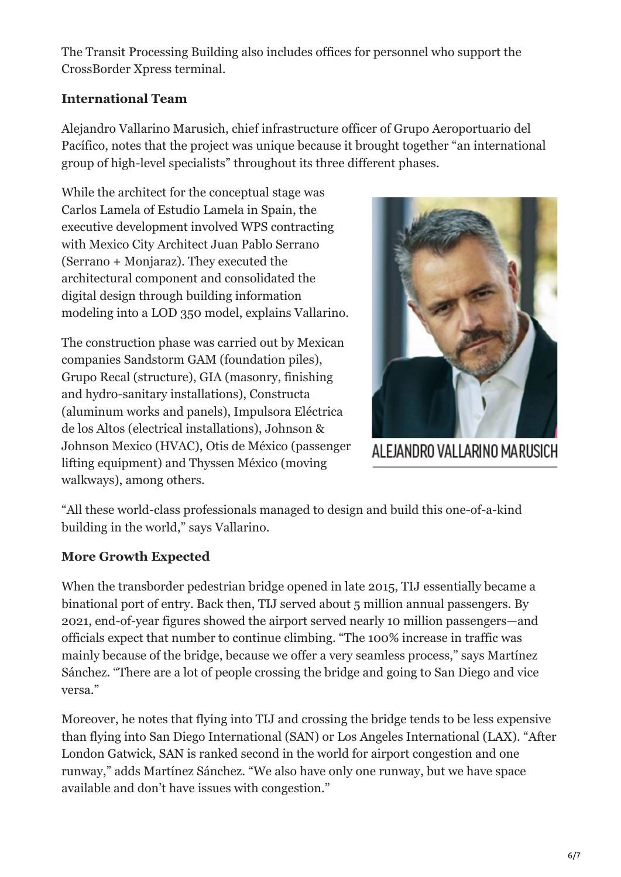The Transit Processing Building also includes offices for personnel who support the CrossBorder Xpress terminal.

#### **International Team**

Alejandro Vallarino Marusich, chief infrastructure officer of Grupo Aeroportuario del Pacífico, notes that the project was unique because it brought together "an international group of high-level specialists" throughout its three different phases.

While the architect for the conceptual stage was Carlos Lamela of Estudio Lamela in Spain, the executive development involved WPS contracting with Mexico City Architect Juan Pablo Serrano (Serrano + Monjaraz). They executed the architectural component and consolidated the digital design through building information modeling into a LOD 350 model, explains Vallarino.

The construction phase was carried out by Mexican companies Sandstorm GAM (foundation piles), Grupo Recal (structure), GIA (masonry, finishing and hydro-sanitary installations), Constructa (aluminum works and panels), Impulsora Eléctrica de los Altos (electrical installations), Johnson & Johnson Mexico (HVAC), Otis de México (passenger lifting equipment) and Thyssen México (moving walkways), among others.



ALEJANDRO VALLARINO MARUSICH

"All these world-class professionals managed to design and build this one-of-a-kind building in the world," says Vallarino.

### **More Growth Expected**

When the transborder pedestrian bridge opened in late 2015, TIJ essentially became a binational port of entry. Back then, TIJ served about 5 million annual passengers. By 2021, end-of-year figures showed the airport served nearly 10 million passengers—and officials expect that number to continue climbing. "The 100% increase in traffic was mainly because of the bridge, because we offer a very seamless process," says Martínez Sánchez. "There are a lot of people crossing the bridge and going to San Diego and vice versa."

Moreover, he notes that flying into TIJ and crossing the bridge tends to be less expensive than flying into San Diego International (SAN) or Los Angeles International (LAX). "After London Gatwick, SAN is ranked second in the world for airport congestion and one runway," adds Martínez Sánchez. "We also have only one runway, but we have space available and don't have issues with congestion."